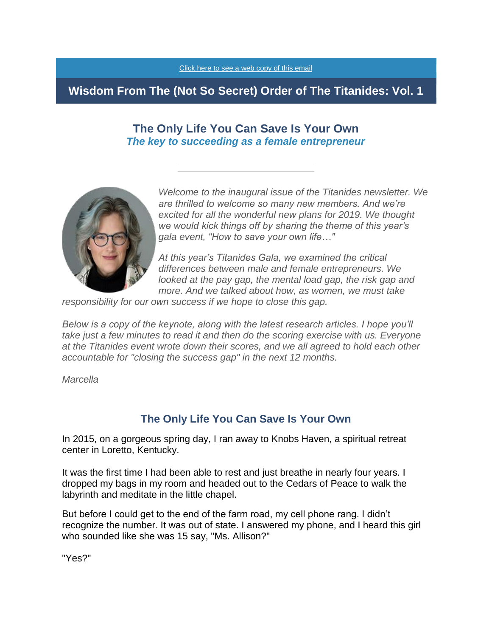

# **Wisdom From The (Not So Secret) Order of The Titanides: Vol. 1**

# **The Only Life You Can Save Is Your Own** *The key to succeeding as a female entrepreneur*



*Welcome to the inaugural issue of the Titanides newsletter. We are thrilled to welcome so many new members. And we're excited for all the wonderful new plans for 2019. We thought we would kick things off by sharing the theme of this year's gala event, "How to save your own life…"*

*At this year's Titanides Gala, we examined the critical differences between male and female entrepreneurs. We looked at the pay gap, the mental load gap, the risk gap and more. And we talked about how, as women, we must take* 

*responsibility for our own success if we hope to close this gap.*

*Below is a copy of the keynote, along with the latest research articles. I hope you'll take just a few minutes to read it and then do the scoring exercise with us. Everyone at the Titanides event wrote down their scores, and we all agreed to hold each other accountable for "closing the success gap" in the next 12 months.*

*Marcella*

# **The Only Life You Can Save Is Your Own**

In 2015, on a gorgeous spring day, I ran away to Knobs Haven, a spiritual retreat center in Loretto, Kentucky.

It was the first time I had been able to rest and just breathe in nearly four years. I dropped my bags in my room and headed out to the Cedars of Peace to walk the labyrinth and meditate in the little chapel.

But before I could get to the end of the farm road, my cell phone rang. I didn't recognize the number. It was out of state. I answered my phone, and I heard this girl who sounded like she was 15 say, "Ms. Allison?"

"Yes?"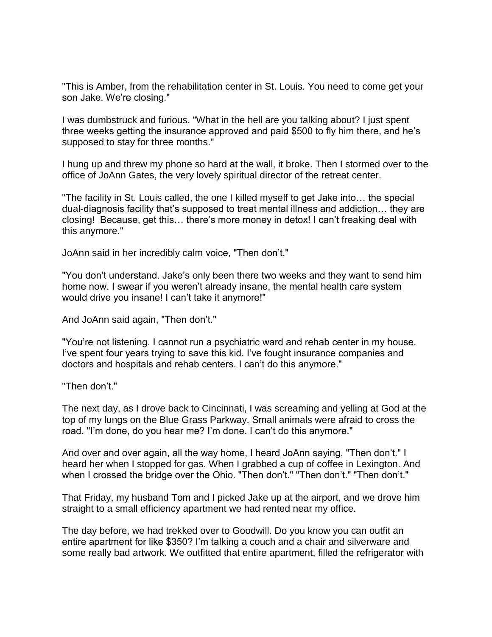"This is Amber, from the rehabilitation center in St. Louis. You need to come get your son Jake. We're closing."

I was dumbstruck and furious. "What in the hell are you talking about? I just spent three weeks getting the insurance approved and paid \$500 to fly him there, and he's supposed to stay for three months."

I hung up and threw my phone so hard at the wall, it broke. Then I stormed over to the office of JoAnn Gates, the very lovely spiritual director of the retreat center.

"The facility in St. Louis called, the one I killed myself to get Jake into… the special dual-diagnosis facility that's supposed to treat mental illness and addiction… they are closing! Because, get this… there's more money in detox! I can't freaking deal with this anymore."

JoAnn said in her incredibly calm voice, "Then don't."

"You don't understand. Jake's only been there two weeks and they want to send him home now. I swear if you weren't already insane, the mental health care system would drive you insane! I can't take it anymore!"

And JoAnn said again, "Then don't."

"You're not listening. I cannot run a psychiatric ward and rehab center in my house. I've spent four years trying to save this kid. I've fought insurance companies and doctors and hospitals and rehab centers. I can't do this anymore."

"Then don't."

The next day, as I drove back to Cincinnati, I was screaming and yelling at God at the top of my lungs on the Blue Grass Parkway. Small animals were afraid to cross the road. "I'm done, do you hear me? I'm done. I can't do this anymore."

And over and over again, all the way home, I heard JoAnn saying, "Then don't." I heard her when I stopped for gas. When I grabbed a cup of coffee in Lexington. And when I crossed the bridge over the Ohio. "Then don't." "Then don't." "Then don't."

That Friday, my husband Tom and I picked Jake up at the airport, and we drove him straight to a small efficiency apartment we had rented near my office.

The day before, we had trekked over to Goodwill. Do you know you can outfit an entire apartment for like \$350? I'm talking a couch and a chair and silverware and some really bad artwork. We outfitted that entire apartment, filled the refrigerator with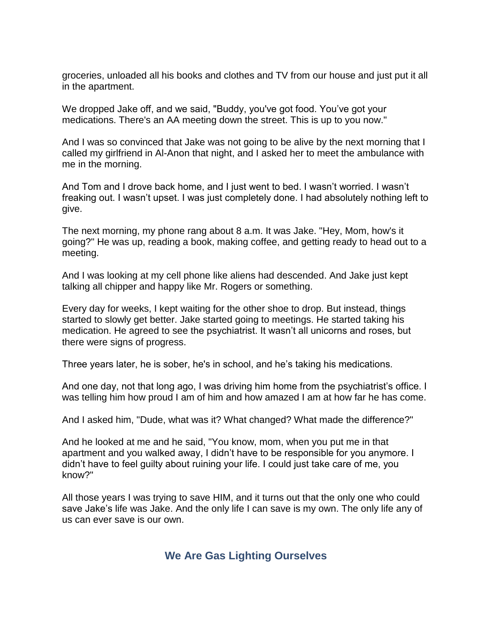groceries, unloaded all his books and clothes and TV from our house and just put it all in the apartment.

We dropped Jake off, and we said, "Buddy, you've got food. You've got your medications. There's an AA meeting down the street. This is up to you now."

And I was so convinced that Jake was not going to be alive by the next morning that I called my girlfriend in Al-Anon that night, and I asked her to meet the ambulance with me in the morning.

And Tom and I drove back home, and I just went to bed. I wasn't worried. I wasn't freaking out. I wasn't upset. I was just completely done. I had absolutely nothing left to give.

The next morning, my phone rang about 8 a.m. It was Jake. "Hey, Mom, how's it going?" He was up, reading a book, making coffee, and getting ready to head out to a meeting.

And I was looking at my cell phone like aliens had descended. And Jake just kept talking all chipper and happy like Mr. Rogers or something.

Every day for weeks, I kept waiting for the other shoe to drop. But instead, things started to slowly get better. Jake started going to meetings. He started taking his medication. He agreed to see the psychiatrist. It wasn't all unicorns and roses, but there were signs of progress.

Three years later, he is sober, he's in school, and he's taking his medications.

And one day, not that long ago, I was driving him home from the psychiatrist's office. I was telling him how proud I am of him and how amazed I am at how far he has come.

And I asked him, "Dude, what was it? What changed? What made the difference?"

And he looked at me and he said, "You know, mom, when you put me in that apartment and you walked away, I didn't have to be responsible for you anymore. I didn't have to feel guilty about ruining your life. I could just take care of me, you know?"

All those years I was trying to save HIM, and it turns out that the only one who could save Jake's life was Jake. And the only life I can save is my own. The only life any of us can ever save is our own.

# **We Are Gas Lighting Ourselves**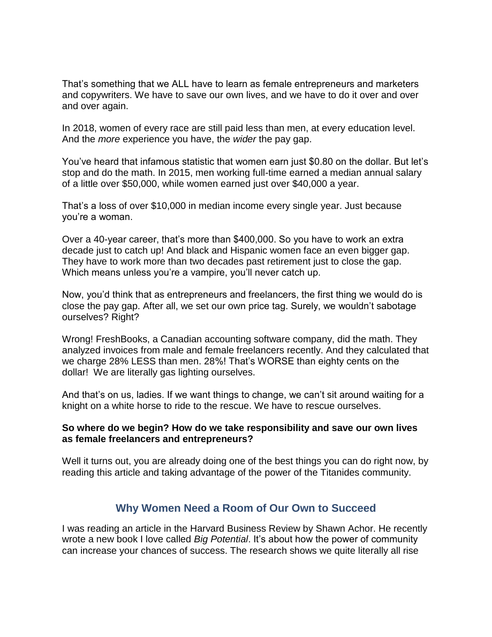That's something that we ALL have to learn as female entrepreneurs and marketers and copywriters. We have to save our own lives, and we have to do it over and over and over again.

In 2018, women of every race are still paid less than men, at every education level. And the *more* experience you have, the *wider* the pay gap.

You've heard that infamous statistic that women earn just \$0.80 on the dollar. But let's stop and do the math. In 2015, men working full-time earned a median annual salary of a little over \$50,000, while women earned just over \$40,000 a year.

That's a loss of over \$10,000 in median income every single year. Just because you're a woman.

Over a 40-year career, that's more than \$400,000. So you have to work an extra decade just to catch up! And black and Hispanic women face an even bigger gap. They have to work more than two decades past retirement just to close the gap. Which means unless you're a vampire, you'll never catch up.

Now, you'd think that as entrepreneurs and freelancers, the first thing we would do is close the pay gap. After all, we set our own price tag. Surely, we wouldn't sabotage ourselves? Right?

Wrong! FreshBooks, a Canadian accounting software company, did the math. They analyzed invoices from male and female freelancers recently. And they calculated that we charge 28% LESS than men. 28%! That's WORSE than eighty cents on the dollar! We are literally gas lighting ourselves.

And that's on us, ladies. If we want things to change, we can't sit around waiting for a knight on a white horse to ride to the rescue. We have to rescue ourselves.

## **So where do we begin? How do we take responsibility and save our own lives as female freelancers and entrepreneurs?**

Well it turns out, you are already doing one of the best things you can do right now, by reading this article and taking advantage of the power of the Titanides community.

# **Why Women Need a Room of Our Own to Succeed**

I was reading an article in the Harvard Business Review by Shawn Achor. He recently wrote a new book I love called *Big Potential*. It's about how the power of community can increase your chances of success. The research shows we quite literally all rise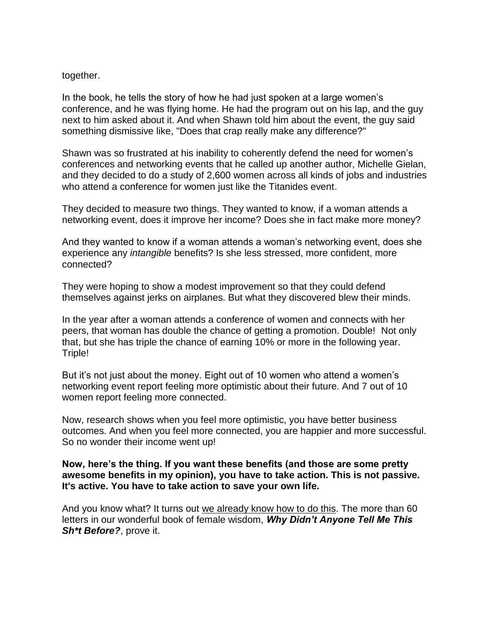#### together.

In the book, he tells the story of how he had just spoken at a large women's conference, and he was flying home. He had the program out on his lap, and the guy next to him asked about it. And when Shawn told him about the event, the guy said something dismissive like, "Does that crap really make any difference?"

Shawn was so frustrated at his inability to coherently defend the need for women's conferences and networking events that he called up another author, Michelle Gielan, and they decided to do a study of 2,600 women across all kinds of jobs and industries who attend a conference for women just like the Titanides event.

They decided to measure two things. They wanted to know, if a woman attends a networking event, does it improve her income? Does she in fact make more money?

And they wanted to know if a woman attends a woman's networking event, does she experience any *intangible* benefits? Is she less stressed, more confident, more connected?

They were hoping to show a modest improvement so that they could defend themselves against jerks on airplanes. But what they discovered blew their minds.

In the year after a woman attends a conference of women and connects with her peers, that woman has double the chance of getting a promotion. Double! Not only that, but she has triple the chance of earning 10% or more in the following year. Triple!

But it's not just about the money. Eight out of 10 women who attend a women's networking event report feeling more optimistic about their future. And 7 out of 10 women report feeling more connected.

Now, research shows when you feel more optimistic, you have better business outcomes. And when you feel more connected, you are happier and more successful. So no wonder their income went up!

## **Now, here's the thing. If you want these benefits (and those are some pretty awesome benefits in my opinion), you have to take action. This is not passive. It's active. You have to take action to save your own life.**

And you know what? It turns out we already know how to do this. The more than 60 letters in our wonderful book of female wisdom, *Why Didn't Anyone Tell Me This Sh\*t Before?*, prove it.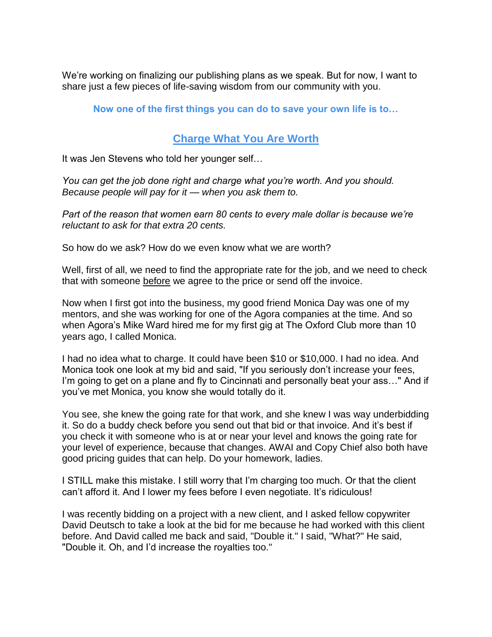We're working on finalizing our publishing plans as we speak. But for now, I want to share just a few pieces of life-saving wisdom from our community with you.

## **Now one of the first things you can do to save your own life is to…**

## **Charge What You Are Worth**

It was Jen Stevens who told her younger self…

*You can get the job done right and charge what you're worth. And you should. Because people will pay for it — when you ask them to.*

*Part of the reason that women earn 80 cents to every male dollar is because we're reluctant to ask for that extra 20 cents.*

So how do we ask? How do we even know what we are worth?

Well, first of all, we need to find the appropriate rate for the job, and we need to check that with someone before we agree to the price or send off the invoice.

Now when I first got into the business, my good friend Monica Day was one of my mentors, and she was working for one of the Agora companies at the time. And so when Agora's Mike Ward hired me for my first gig at The Oxford Club more than 10 years ago, I called Monica.

I had no idea what to charge. It could have been \$10 or \$10,000. I had no idea. And Monica took one look at my bid and said, "If you seriously don't increase your fees, I'm going to get on a plane and fly to Cincinnati and personally beat your ass..." And if you've met Monica, you know she would totally do it.

You see, she knew the going rate for that work, and she knew I was way underbidding it. So do a buddy check before you send out that bid or that invoice. And it's best if you check it with someone who is at or near your level and knows the going rate for your level of experience, because that changes. AWAI and Copy Chief also both have good pricing guides that can help. Do your homework, ladies.

I STILL make this mistake. I still worry that I'm charging too much. Or that the client can't afford it. And I lower my fees before I even negotiate. It's ridiculous!

I was recently bidding on a project with a new client, and I asked fellow copywriter David Deutsch to take a look at the bid for me because he had worked with this client before. And David called me back and said, "Double it." I said, "What?" He said, "Double it. Oh, and I'd increase the royalties too."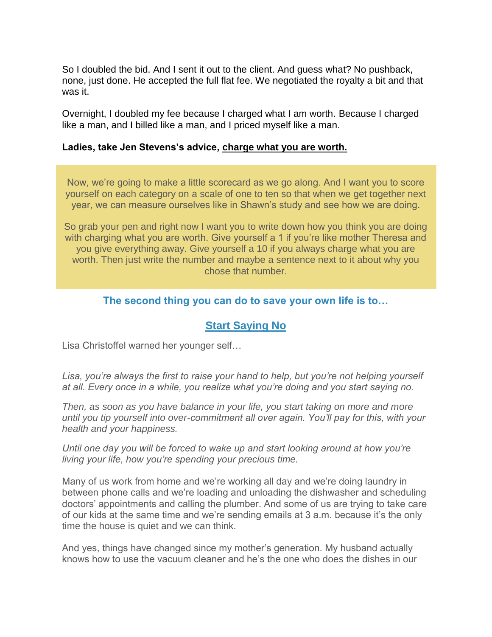So I doubled the bid. And I sent it out to the client. And guess what? No pushback, none, just done. He accepted the full flat fee. We negotiated the royalty a bit and that was it.

Overnight, I doubled my fee because I charged what I am worth. Because I charged like a man, and I billed like a man, and I priced myself like a man.

## **Ladies, take Jen Stevens's advice, charge what you are worth.**

Now, we're going to make a little scorecard as we go along. And I want you to score yourself on each category on a scale of one to ten so that when we get together next year, we can measure ourselves like in Shawn's study and see how we are doing.

So grab your pen and right now I want you to write down how you think you are doing with charging what you are worth. Give yourself a 1 if you're like mother Theresa and you give everything away. Give yourself a 10 if you always charge what you are worth. Then just write the number and maybe a sentence next to it about why you chose that number.

## **The second thing you can do to save your own life is to…**

# **Start Saying No**

Lisa Christoffel warned her younger self…

*Lisa, you're always the first to raise your hand to help, but you're not helping yourself at all. Every once in a while, you realize what you're doing and you start saying no.*

*Then, as soon as you have balance in your life, you start taking on more and more until you tip yourself into over-commitment all over again. You'll pay for this, with your health and your happiness.*

*Until one day you will be forced to wake up and start looking around at how you're living your life, how you're spending your precious time.*

Many of us work from home and we're working all day and we're doing laundry in between phone calls and we're loading and unloading the dishwasher and scheduling doctors' appointments and calling the plumber. And some of us are trying to take care of our kids at the same time and we're sending emails at 3 a.m. because it's the only time the house is quiet and we can think.

And yes, things have changed since my mother's generation. My husband actually knows how to use the vacuum cleaner and he's the one who does the dishes in our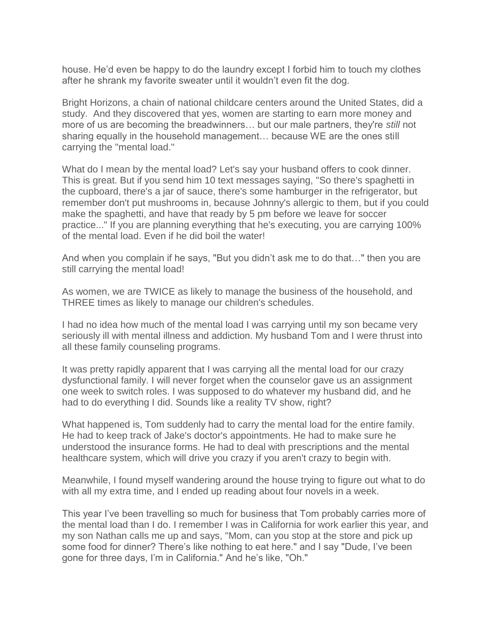house. He'd even be happy to do the laundry except I forbid him to touch my clothes after he shrank my favorite sweater until it wouldn't even fit the dog.

Bright Horizons, a chain of national childcare centers around the United States, did a study. And they discovered that yes, women are starting to earn more money and more of us are becoming the breadwinners… but our male partners, they're *still* not sharing equally in the household management… because WE are the ones still carrying the "mental load."

What do I mean by the mental load? Let's say your husband offers to cook dinner. This is great. But if you send him 10 text messages saying, "So there's spaghetti in the cupboard, there's a jar of sauce, there's some hamburger in the refrigerator, but remember don't put mushrooms in, because Johnny's allergic to them, but if you could make the spaghetti, and have that ready by 5 pm before we leave for soccer practice..." If you are planning everything that he's executing, you are carrying 100% of the mental load. Even if he did boil the water!

And when you complain if he says, "But you didn't ask me to do that…" then you are still carrying the mental load!

As women, we are TWICE as likely to manage the business of the household, and THREE times as likely to manage our children's schedules.

I had no idea how much of the mental load I was carrying until my son became very seriously ill with mental illness and addiction. My husband Tom and I were thrust into all these family counseling programs.

It was pretty rapidly apparent that I was carrying all the mental load for our crazy dysfunctional family. I will never forget when the counselor gave us an assignment one week to switch roles. I was supposed to do whatever my husband did, and he had to do everything I did. Sounds like a reality TV show, right?

What happened is, Tom suddenly had to carry the mental load for the entire family. He had to keep track of Jake's doctor's appointments. He had to make sure he understood the insurance forms. He had to deal with prescriptions and the mental healthcare system, which will drive you crazy if you aren't crazy to begin with.

Meanwhile, I found myself wandering around the house trying to figure out what to do with all my extra time, and I ended up reading about four novels in a week.

This year I've been travelling so much for business that Tom probably carries more of the mental load than I do. I remember I was in California for work earlier this year, and my son Nathan calls me up and says, "Mom, can you stop at the store and pick up some food for dinner? There's like nothing to eat here." and I say "Dude, I've been gone for three days, I'm in California." And he's like, "Oh."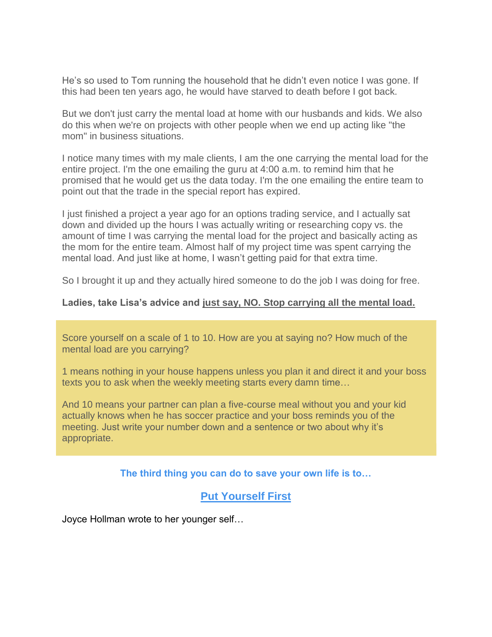He's so used to Tom running the household that he didn't even notice I was gone. If this had been ten years ago, he would have starved to death before I got back.

But we don't just carry the mental load at home with our husbands and kids. We also do this when we're on projects with other people when we end up acting like "the mom" in business situations.

I notice many times with my male clients, I am the one carrying the mental load for the entire project. I'm the one emailing the guru at 4:00 a.m. to remind him that he promised that he would get us the data today. I'm the one emailing the entire team to point out that the trade in the special report has expired.

I just finished a project a year ago for an options trading service, and I actually sat down and divided up the hours I was actually writing or researching copy vs. the amount of time I was carrying the mental load for the project and basically acting as the mom for the entire team. Almost half of my project time was spent carrying the mental load. And just like at home, I wasn't getting paid for that extra time.

So I brought it up and they actually hired someone to do the job I was doing for free.

## **Ladies, take Lisa's advice and just say, NO. Stop carrying all the mental load.**

Score yourself on a scale of 1 to 10. How are you at saying no? How much of the mental load are you carrying?

1 means nothing in your house happens unless you plan it and direct it and your boss texts you to ask when the weekly meeting starts every damn time…

And 10 means your partner can plan a five-course meal without you and your kid actually knows when he has soccer practice and your boss reminds you of the meeting. Just write your number down and a sentence or two about why it's appropriate.

## **The third thing you can do to save your own life is to…**

# **Put Yourself First**

Joyce Hollman wrote to her younger self…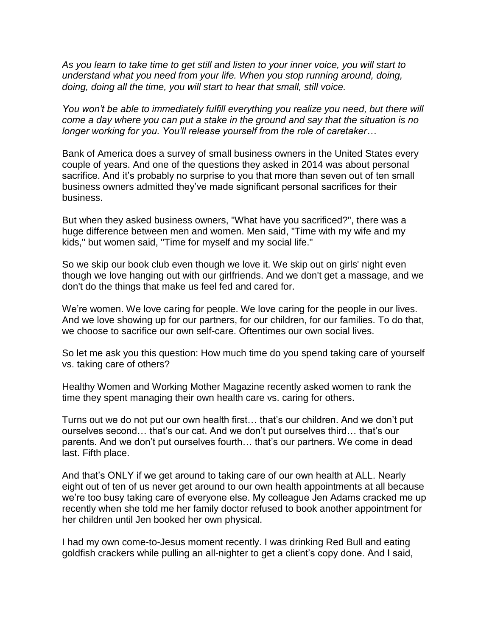*As you learn to take time to get still and listen to your inner voice, you will start to understand what you need from your life. When you stop running around, doing, doing, doing all the time, you will start to hear that small, still voice.*

*You won't be able to immediately fulfill everything you realize you need, but there will come a day where you can put a stake in the ground and say that the situation is no longer working for you. You'll release yourself from the role of caretaker…*

Bank of America does a survey of small business owners in the United States every couple of years. And one of the questions they asked in 2014 was about personal sacrifice. And it's probably no surprise to you that more than seven out of ten small business owners admitted they've made significant personal sacrifices for their business.

But when they asked business owners, "What have you sacrificed?", there was a huge difference between men and women. Men said, "Time with my wife and my kids," but women said, "Time for myself and my social life."

So we skip our book club even though we love it. We skip out on girls' night even though we love hanging out with our girlfriends. And we don't get a massage, and we don't do the things that make us feel fed and cared for.

We're women. We love caring for people. We love caring for the people in our lives. And we love showing up for our partners, for our children, for our families. To do that, we choose to sacrifice our own self-care. Oftentimes our own social lives.

So let me ask you this question: How much time do you spend taking care of yourself vs. taking care of others?

Healthy Women and Working Mother Magazine recently asked women to rank the time they spent managing their own health care vs. caring for others.

Turns out we do not put our own health first… that's our children. And we don't put ourselves second… that's our cat. And we don't put ourselves third… that's our parents. And we don't put ourselves fourth… that's our partners. We come in dead last. Fifth place.

And that's ONLY if we get around to taking care of our own health at ALL. Nearly eight out of ten of us never get around to our own health appointments at all because we're too busy taking care of everyone else. My colleague Jen Adams cracked me up recently when she told me her family doctor refused to book another appointment for her children until Jen booked her own physical.

I had my own come-to-Jesus moment recently. I was drinking Red Bull and eating goldfish crackers while pulling an all-nighter to get a client's copy done. And I said,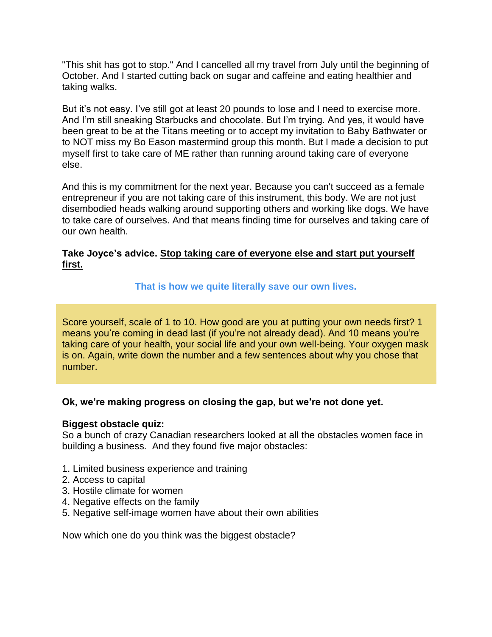"This shit has got to stop." And I cancelled all my travel from July until the beginning of October. And I started cutting back on sugar and caffeine and eating healthier and taking walks.

But it's not easy. I've still got at least 20 pounds to lose and I need to exercise more. And I'm still sneaking Starbucks and chocolate. But I'm trying. And yes, it would have been great to be at the Titans meeting or to accept my invitation to Baby Bathwater or to NOT miss my Bo Eason mastermind group this month. But I made a decision to put myself first to take care of ME rather than running around taking care of everyone else.

And this is my commitment for the next year. Because you can't succeed as a female entrepreneur if you are not taking care of this instrument, this body. We are not just disembodied heads walking around supporting others and working like dogs. We have to take care of ourselves. And that means finding time for ourselves and taking care of our own health.

## **Take Joyce's advice. Stop taking care of everyone else and start put yourself first.**

## **That is how we quite literally save our own lives.**

Score yourself, scale of 1 to 10. How good are you at putting your own needs first? 1 means you're coming in dead last (if you're not already dead). And 10 means you're taking care of your health, your social life and your own well-being. Your oxygen mask is on. Again, write down the number and a few sentences about why you chose that number.

## **Ok, we're making progress on closing the gap, but we're not done yet.**

#### **Biggest obstacle quiz:**

So a bunch of crazy Canadian researchers looked at all the obstacles women face in building a business. And they found five major obstacles:

- 1. Limited business experience and training
- 2. Access to capital
- 3. Hostile climate for women
- 4. Negative effects on the family
- 5. Negative self-image women have about their own abilities

Now which one do you think was the biggest obstacle?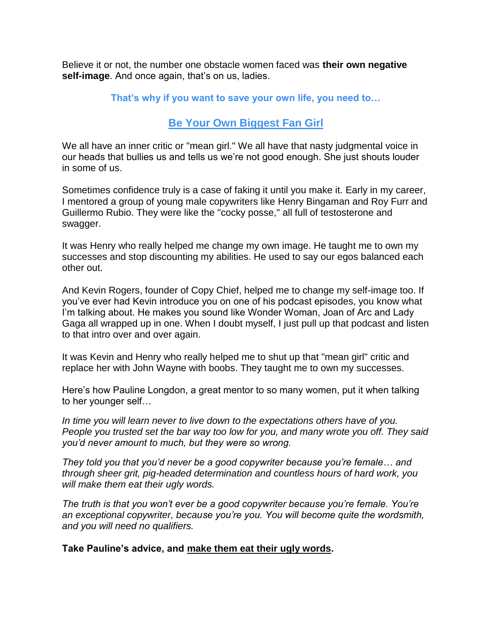Believe it or not, the number one obstacle women faced was **their own negative self-image**. And once again, that's on us, ladies.

## **That's why if you want to save your own life, you need to…**

# **Be Your Own Biggest Fan Girl**

We all have an inner critic or "mean girl." We all have that nasty judgmental voice in our heads that bullies us and tells us we're not good enough. She just shouts louder in some of us.

Sometimes confidence truly is a case of faking it until you make it. Early in my career, I mentored a group of young male copywriters like Henry Bingaman and Roy Furr and Guillermo Rubio. They were like the "cocky posse," all full of testosterone and swagger.

It was Henry who really helped me change my own image. He taught me to own my successes and stop discounting my abilities. He used to say our egos balanced each other out.

And Kevin Rogers, founder of Copy Chief, helped me to change my self-image too. If you've ever had Kevin introduce you on one of his podcast episodes, you know what I'm talking about. He makes you sound like Wonder Woman, Joan of Arc and Lady Gaga all wrapped up in one. When I doubt myself, I just pull up that podcast and listen to that intro over and over again.

It was Kevin and Henry who really helped me to shut up that "mean girl" critic and replace her with John Wayne with boobs. They taught me to own my successes.

Here's how Pauline Longdon, a great mentor to so many women, put it when talking to her younger self…

*In time you will learn never to live down to the expectations others have of you. People you trusted set the bar way too low for you, and many wrote you off. They said you'd never amount to much, but they were so wrong.*

*They told you that you'd never be a good copywriter because you're female… and through sheer grit, pig-headed determination and countless hours of hard work, you will make them eat their ugly words.*

*The truth is that you won't ever be a good copywriter because you're female. You're an exceptional copywriter, because you're you. You will become quite the wordsmith, and you will need no qualifiers.*

#### **Take Pauline's advice, and make them eat their ugly words.**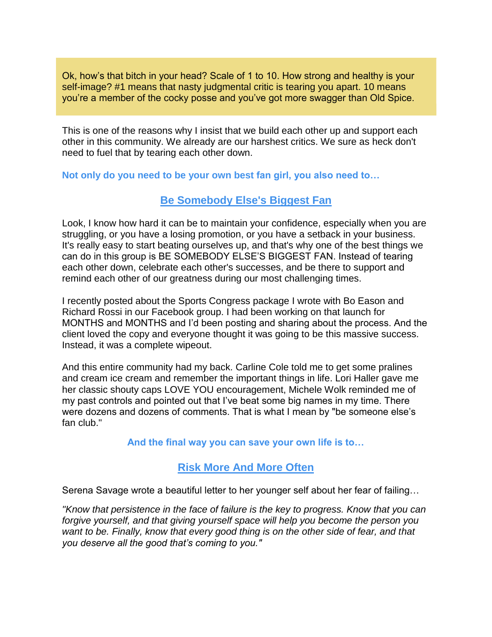Ok, how's that bitch in your head? Scale of 1 to 10. How strong and healthy is your self-image? #1 means that nasty judgmental critic is tearing you apart. 10 means you're a member of the cocky posse and you've got more swagger than Old Spice.

This is one of the reasons why I insist that we build each other up and support each other in this community. We already are our harshest critics. We sure as heck don't need to fuel that by tearing each other down.

**Not only do you need to be your own best fan girl, you also need to…**

# **Be Somebody Else's Biggest Fan**

Look, I know how hard it can be to maintain your confidence, especially when you are struggling, or you have a losing promotion, or you have a setback in your business. It's really easy to start beating ourselves up, and that's why one of the best things we can do in this group is BE SOMEBODY ELSE'S BIGGEST FAN. Instead of tearing each other down, celebrate each other's successes, and be there to support and remind each other of our greatness during our most challenging times.

I recently posted about the Sports Congress package I wrote with Bo Eason and Richard Rossi in our Facebook group. I had been working on that launch for MONTHS and MONTHS and I'd been posting and sharing about the process. And the client loved the copy and everyone thought it was going to be this massive success. Instead, it was a complete wipeout.

And this entire community had my back. Carline Cole told me to get some pralines and cream ice cream and remember the important things in life. Lori Haller gave me her classic shouty caps LOVE YOU encouragement, Michele Wolk reminded me of my past controls and pointed out that I've beat some big names in my time. There were dozens and dozens of comments. That is what I mean by "be someone else's fan club."

**And the final way you can save your own life is to…**

# **Risk More And More Often**

Serena Savage wrote a beautiful letter to her younger self about her fear of failing…

*"Know that persistence in the face of failure is the key to progress. Know that you can forgive yourself, and that giving yourself space will help you become the person you want to be. Finally, know that every good thing is on the other side of fear, and that you deserve all the good that's coming to you."*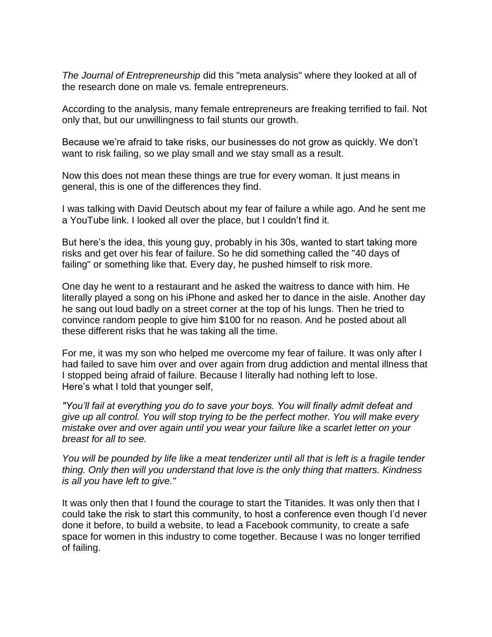*The Journal of Entrepreneurship* did this "meta analysis" where they looked at all of the research done on male vs. female entrepreneurs.

According to the analysis, many female entrepreneurs are freaking terrified to fail. Not only that, but our unwillingness to fail stunts our growth.

Because we're afraid to take risks, our businesses do not grow as quickly. We don't want to risk failing, so we play small and we stay small as a result.

Now this does not mean these things are true for every woman. It just means in general, this is one of the differences they find.

I was talking with David Deutsch about my fear of failure a while ago. And he sent me a YouTube link. I looked all over the place, but I couldn't find it.

But here's the idea, this young guy, probably in his 30s, wanted to start taking more risks and get over his fear of failure. So he did something called the "40 days of failing" or something like that. Every day, he pushed himself to risk more.

One day he went to a restaurant and he asked the waitress to dance with him. He literally played a song on his iPhone and asked her to dance in the aisle. Another day he sang out loud badly on a street corner at the top of his lungs. Then he tried to convince random people to give him \$100 for no reason. And he posted about all these different risks that he was taking all the time.

For me, it was my son who helped me overcome my fear of failure. It was only after I had failed to save him over and over again from drug addiction and mental illness that I stopped being afraid of failure. Because I literally had nothing left to lose. Here's what I told that younger self,

*"You'll fail at everything you do to save your boys. You will finally admit defeat and give up all control. You will stop trying to be the perfect mother. You will make every mistake over and over again until you wear your failure like a scarlet letter on your breast for all to see.*

*You will be pounded by life like a meat tenderizer until all that is left is a fragile tender thing. Only then will you understand that love is the only thing that matters. Kindness is all you have left to give."*

It was only then that I found the courage to start the Titanides. It was only then that I could take the risk to start this community, to host a conference even though I'd never done it before, to build a website, to lead a Facebook community, to create a safe space for women in this industry to come together. Because I was no longer terrified of failing.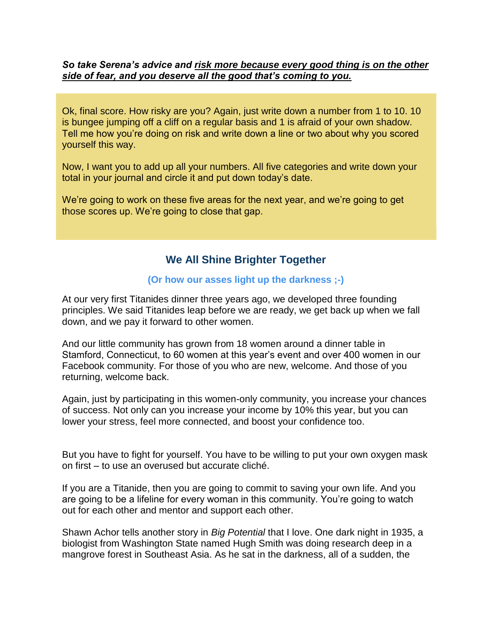## *So take Serena's advice and risk more because every good thing is on the other side of fear, and you deserve all the good that's coming to you.*

Ok, final score. How risky are you? Again, just write down a number from 1 to 10. 10 is bungee jumping off a cliff on a regular basis and 1 is afraid of your own shadow. Tell me how you're doing on risk and write down a line or two about why you scored yourself this way.

Now, I want you to add up all your numbers. All five categories and write down your total in your journal and circle it and put down today's date.

We're going to work on these five areas for the next year, and we're going to get those scores up. We're going to close that gap.

# **We All Shine Brighter Together**

#### **(Or how our asses light up the darkness ;-)**

At our very first Titanides dinner three years ago, we developed three founding principles. We said Titanides leap before we are ready, we get back up when we fall down, and we pay it forward to other women.

And our little community has grown from 18 women around a dinner table in Stamford, Connecticut, to 60 women at this year's event and over 400 women in our Facebook community. For those of you who are new, welcome. And those of you returning, welcome back.

Again, just by participating in this women-only community, you increase your chances of success. Not only can you increase your income by 10% this year, but you can lower your stress, feel more connected, and boost your confidence too.

But you have to fight for yourself. You have to be willing to put your own oxygen mask on first – to use an overused but accurate cliché.

If you are a Titanide, then you are going to commit to saving your own life. And you are going to be a lifeline for every woman in this community. You're going to watch out for each other and mentor and support each other.

Shawn Achor tells another story in *Big Potential* that I love. One dark night in 1935, a biologist from Washington State named Hugh Smith was doing research deep in a mangrove forest in Southeast Asia. As he sat in the darkness, all of a sudden, the